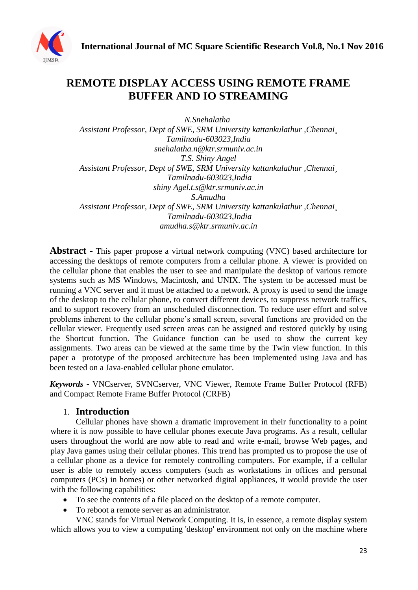

# **REMOTE DISPLAY ACCESS USING REMOTE FRAME BUFFER AND IO STREAMING**

*N.Snehalatha Assistant Professor, Dept of SWE, SRM University kattankulathur ,Chennai¸ Tamilnadu-603023,India snehalatha.n@ktr.srmuniv.ac.in T.S. Shiny Angel Assistant Professor, Dept of SWE, SRM University kattankulathur ,Chennai¸ Tamilnadu-603023,India shiny Agel.t.s@ktr.srmuniv.ac.in S.Amudha Assistant Professor, Dept of SWE, SRM University kattankulathur ,Chennai¸ Tamilnadu-603023,India amudha.s@ktr.srmuniv.ac.in*

**Abstract -** This paper propose a virtual network computing (VNC) based architecture for accessing the desktops of remote computers from a cellular phone. A viewer is provided on the cellular phone that enables the user to see and manipulate the desktop of various remote systems such as MS Windows, Macintosh, and UNIX. The system to be accessed must be running a VNC server and it must be attached to a network. A proxy is used to send the image of the desktop to the cellular phone, to convert different devices, to suppress network traffics, and to support recovery from an unscheduled disconnection. To reduce user effort and solve problems inherent to the cellular phone"s small screen, several functions are provided on the cellular viewer. Frequently used screen areas can be assigned and restored quickly by using the Shortcut function. The Guidance function can be used to show the current key assignments. Two areas can be viewed at the same time by the Twin view function. In this paper a prototype of the proposed architecture has been implemented using Java and has been tested on a Java-enabled cellular phone emulator.

*Keywords -* VNCserver, SVNCserver, VNC Viewer, Remote Frame Buffer Protocol (RFB) and Compact Remote Frame Buffer Protocol (CRFB)

## 1. **Introduction**

Cellular phones have shown a dramatic improvement in their functionality to a point where it is now possible to have cellular phones execute Java programs. As a result, cellular users throughout the world are now able to read and write e-mail, browse Web pages, and play Java games using their cellular phones. This trend has prompted us to propose the use of a cellular phone as a device for remotely controlling computers. For example, if a cellular user is able to remotely access computers (such as workstations in offices and personal computers (PCs) in homes) or other networked digital appliances, it would provide the user with the following capabilities:

- To see the contents of a file placed on the desktop of a remote computer.
- To reboot a remote server as an administrator.

VNC stands for Virtual Network Computing. It is, in essence, a remote display system which allows you to view a computing 'desktop' environment not only on the machine where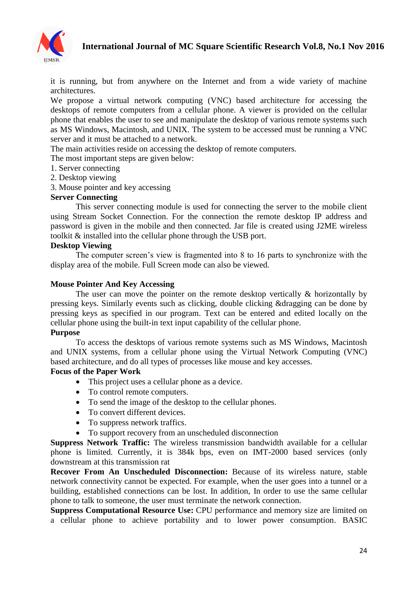

it is running, but from anywhere on the Internet and from a wide variety of machine architectures.

We propose a virtual network computing (VNC) based architecture for accessing the desktops of remote computers from a cellular phone. A viewer is provided on the cellular phone that enables the user to see and manipulate the desktop of various remote systems such as MS Windows, Macintosh, and UNIX. The system to be accessed must be running a VNC server and it must be attached to a network.

The main activities reside on accessing the desktop of remote computers.

The most important steps are given below:

- 1. Server connecting
- 2. Desktop viewing
- 3. Mouse pointer and key accessing

#### **Server Connecting**

This server connecting module is used for connecting the server to the mobile client using Stream Socket Connection. For the connection the remote desktop IP address and password is given in the mobile and then connected. Jar file is created using J2ME wireless toolkit & installed into the cellular phone through the USB port.

#### **Desktop Viewing**

The computer screen"s view is fragmented into 8 to 16 parts to synchronize with the display area of the mobile. Full Screen mode can also be viewed.

#### **Mouse Pointer And Key Accessing**

The user can move the pointer on the remote desktop vertically & horizontally by pressing keys. Similarly events such as clicking, double clicking &dragging can be done by pressing keys as specified in our program. Text can be entered and edited locally on the cellular phone using the built-in text input capability of the cellular phone.

#### **Purpose**

To access the desktops of various remote systems such as MS Windows, Macintosh and UNIX systems, from a cellular phone using the Virtual Network Computing (VNC) based architecture, and do all types of processes like mouse and key accesses.

#### **Focus of the Paper Work**

- This project uses a cellular phone as a device.
- To control remote computers.
- To send the image of the desktop to the cellular phones.
- To convert different devices.
- To suppress network traffics.
- To support recovery from an unscheduled disconnection

**Suppress Network Traffic:** The wireless transmission bandwidth available for a cellular phone is limited. Currently, it is 384k bps, even on IMT-2000 based services (only downstream at this transmission rat

**Recover From An Unscheduled Disconnection:** Because of its wireless nature, stable network connectivity cannot be expected. For example, when the user goes into a tunnel or a building, established connections can be lost. In addition, In order to use the same cellular phone to talk to someone, the user must terminate the network connection.

**Suppress Computational Resource Use:** CPU performance and memory size are limited on a cellular phone to achieve portability and to lower power consumption. BASIC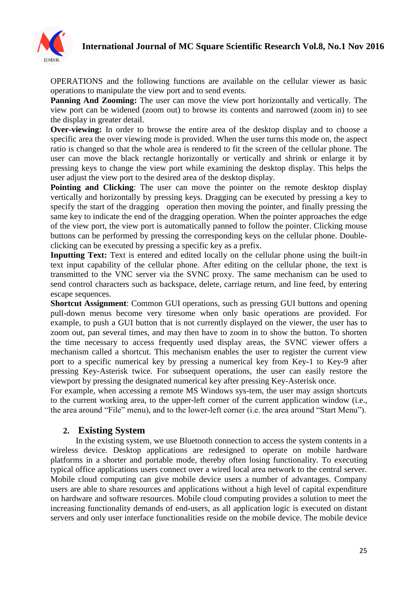

OPERATIONS and the following functions are available on the cellular viewer as basic operations to manipulate the view port and to send events.

**Panning And Zooming:** The user can move the view port horizontally and vertically. The view port can be widened (zoom out) to browse its contents and narrowed (zoom in) to see the display in greater detail.

**Over-viewing:** In order to browse the entire area of the desktop display and to choose a specific area the over viewing mode is provided. When the user turns this mode on, the aspect ratio is changed so that the whole area is rendered to fit the screen of the cellular phone. The user can move the black rectangle horizontally or vertically and shrink or enlarge it by pressing keys to change the view port while examining the desktop display. This helps the user adjust the view port to the desired area of the desktop display.

**Pointing and Clicking**: The user can move the pointer on the remote desktop display vertically and horizontally by pressing keys. Dragging can be executed by pressing a key to specify the start of the dragging operation then moving the pointer, and finally pressing the same key to indicate the end of the dragging operation. When the pointer approaches the edge of the view port, the view port is automatically panned to follow the pointer. Clicking mouse buttons can be performed by pressing the corresponding keys on the cellular phone. Doubleclicking can be executed by pressing a specific key as a prefix.

**Inputting Text:** Text is entered and edited locally on the cellular phone using the built-in text input capability of the cellular phone. After editing on the cellular phone, the text is transmitted to the VNC server via the SVNC proxy. The same mechanism can be used to send control characters such as backspace, delete, carriage return, and line feed, by entering escape sequences.

**Shortcut Assignment**: Common GUI operations, such as pressing GUI buttons and opening pull-down menus become very tiresome when only basic operations are provided. For example, to push a GUI button that is not currently displayed on the viewer, the user has to zoom out, pan several times, and may then have to zoom in to show the button. To shorten the time necessary to access frequently used display areas, the SVNC viewer offers a mechanism called a shortcut. This mechanism enables the user to register the current view port to a specific numerical key by pressing a numerical key from Key-1 to Key-9 after pressing Key-Asterisk twice. For subsequent operations, the user can easily restore the viewport by pressing the designated numerical key after pressing Key-Asterisk once.

For example, when accessing a remote MS Windows sys-tem, the user may assign shortcuts to the current working area, to the upper-left corner of the current application window (i.e., the area around "File" menu), and to the lower-left corner (i.e. the area around "Start Menu").

## **2. Existing System**

In the existing system, we use Bluetooth connection to access the system contents in a wireless device. Desktop applications are redesigned to operate on mobile hardware platforms in a shorter and portable mode, thereby often losing functionality. To executing typical office applications users connect over a wired local area network to the central server. Mobile cloud computing can give mobile device users a number of advantages. Company users are able to share resources and applications without a high level of capital expenditure on hardware and software resources. Mobile cloud computing provides a solution to meet the increasing functionality demands of end-users, as all application logic is executed on distant servers and only user interface functionalities reside on the mobile device. The mobile device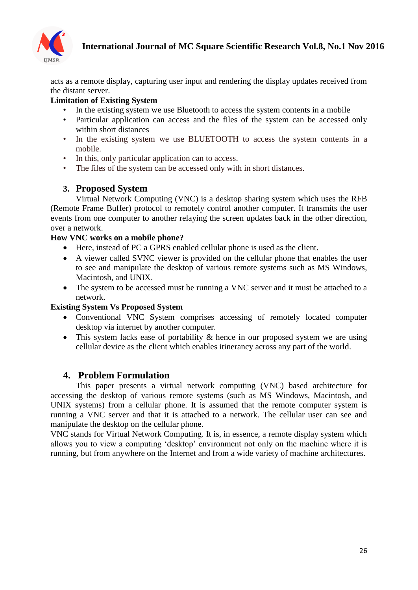

acts as a remote display, capturing user input and rendering the display updates received from the distant server.

# **Limitation of Existing System**

- In the existing system we use Bluetooth to access the system contents in a mobile
- Particular application can access and the files of the system can be accessed only within short distances
- In the existing system we use BLUETOOTH to access the system contents in a mobile.
- In this, only particular application can to access.
- The files of the system can be accessed only with in short distances.

# **3. Proposed System**

Virtual Network Computing (VNC) is a desktop sharing system which uses the RFB (Remote Frame Buffer) protocol to remotely control another computer. It transmits the user events from one computer to another relaying the screen updates back in the other direction, over a network.

## **How VNC works on a mobile phone?**

- Here, instead of PC a GPRS enabled cellular phone is used as the client.
- A viewer called SVNC viewer is provided on the cellular phone that enables the user to see and manipulate the desktop of various remote systems such as MS Windows, Macintosh, and UNIX.
- The system to be accessed must be running a VNC server and it must be attached to a network.

## **Existing System Vs Proposed System**

- Conventional VNC System comprises accessing of remotely located computer desktop via internet by another computer.
- This system lacks ease of portability & hence in our proposed system we are using cellular device as the client which enables itinerancy across any part of the world.

# **4. Problem Formulation**

This paper presents a virtual network computing (VNC) based architecture for accessing the desktop of various remote systems (such as MS Windows, Macintosh, and UNIX systems) from a cellular phone. It is assumed that the remote computer system is running a VNC server and that it is attached to a network. The cellular user can see and manipulate the desktop on the cellular phone.

VNC stands for Virtual Network Computing. It is, in essence, a remote display system which allows you to view a computing "desktop" environment not only on the machine where it is running, but from anywhere on the Internet and from a wide variety of machine architectures.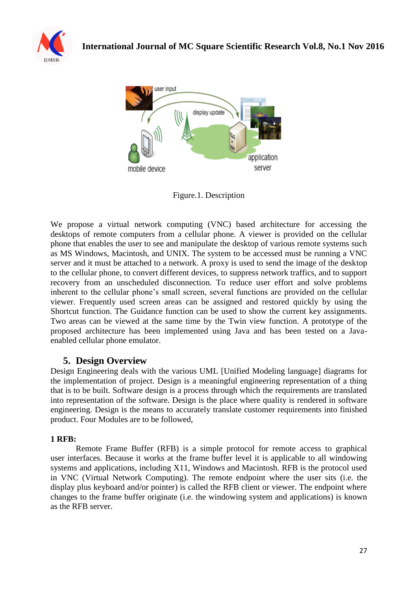



Figure.1. Description

We propose a virtual network computing (VNC) based architecture for accessing the desktops of remote computers from a cellular phone. A viewer is provided on the cellular phone that enables the user to see and manipulate the desktop of various remote systems such as MS Windows, Macintosh, and UNIX. The system to be accessed must be running a VNC server and it must be attached to a network. A proxy is used to send the image of the desktop to the cellular phone, to convert different devices, to suppress network traffics, and to support recovery from an unscheduled disconnection. To reduce user effort and solve problems inherent to the cellular phone's small screen, several functions are provided on the cellular viewer. Frequently used screen areas can be assigned and restored quickly by using the Shortcut function. The Guidance function can be used to show the current key assignments. Two areas can be viewed at the same time by the Twin view function. A prototype of the proposed architecture has been implemented using Java and has been tested on a Javaenabled cellular phone emulator.

# **5. Design Overview**

Design Engineering deals with the various UML [Unified Modeling language] diagrams for the implementation of project. Design is a meaningful engineering representation of a thing that is to be built. Software design is a process through which the requirements are translated into representation of the software. Design is the place where quality is rendered in software engineering. Design is the means to accurately translate customer requirements into finished product. Four Modules are to be followed,

## **1 RFB:**

Remote Frame Buffer (RFB) is a simple protocol for remote access to graphical user interfaces. Because it works at the frame buffer level it is applicable to all windowing systems and applications, including X11, Windows and Macintosh. RFB is the protocol used in VNC (Virtual Network Computing). The remote endpoint where the user sits (i.e. the display plus keyboard and/or pointer) is called the RFB client or viewer. The endpoint where changes to the frame buffer originate (i.e. the windowing system and applications) is known as the RFB server.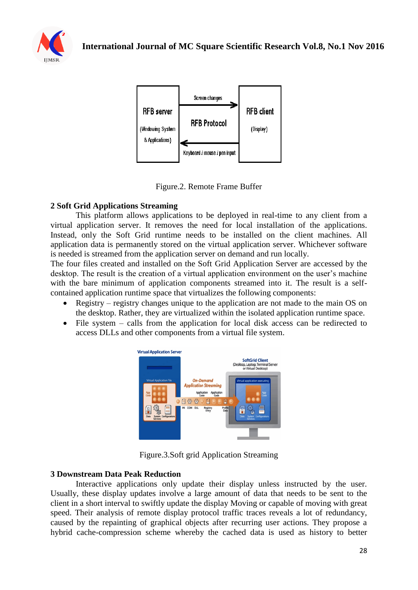



Figure.2. Remote Frame Buffer

## **2 Soft Grid Applications Streaming**

This platform allows applications to be deployed in real-time to any client from a virtual application server. It removes the need for local installation of the applications. Instead, only the Soft Grid runtime needs to be installed on the client machines. All application data is permanently stored on the virtual application server. Whichever software is needed is streamed from the application server on demand and run locally.

The four files created and installed on the Soft Grid Application Server are accessed by the desktop. The result is the creation of a virtual application environment on the user's machine with the bare minimum of application components streamed into it. The result is a selfcontained application runtime space that virtualizes the following components:

- Registry registry changes unique to the application are not made to the main OS on the desktop. Rather, they are virtualized within the isolated application runtime space.
- File system calls from the application for local disk access can be redirected to access DLLs and other components from a virtual file system.



Figure.3.Soft grid Application Streaming

## **3 Downstream Data Peak Reduction**

Interactive applications only update their display unless instructed by the user. Usually, these display updates involve a large amount of data that needs to be sent to the client in a short interval to swiftly update the display Moving or capable of moving with great speed. Their analysis of remote display protocol traffic traces reveals a lot of redundancy, caused by the repainting of graphical objects after recurring user actions. They propose a hybrid cache-compression scheme whereby the cached data is used as history to better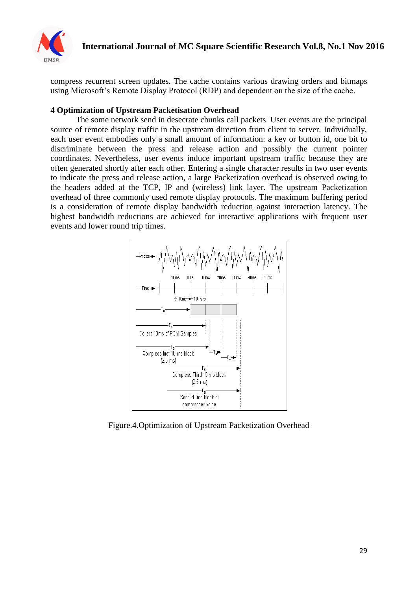

compress recurrent screen updates. The cache contains various drawing orders and bitmaps using Microsoft"s Remote Display Protocol (RDP) and dependent on the size of the cache.

#### **4 Optimization of Upstream Packetisation Overhead**

The some network send in desecrate chunks call packets User events are the principal source of remote display traffic in the upstream direction from client to server. Individually, each user event embodies only a small amount of information: a key or button id, one bit to discriminate between the press and release action and possibly the current pointer coordinates. Nevertheless, user events induce important upstream traffic because they are often generated shortly after each other. Entering a single character results in two user events to indicate the press and release action, a large Packetization overhead is observed owing to the headers added at the TCP, IP and (wireless) link layer. The upstream Packetization overhead of three commonly used remote display protocols. The maximum buffering period is a consideration of remote display bandwidth reduction against interaction latency. The highest bandwidth reductions are achieved for interactive applications with frequent user events and lower round trip times.



Figure.4.Optimization of Upstream Packetization Overhead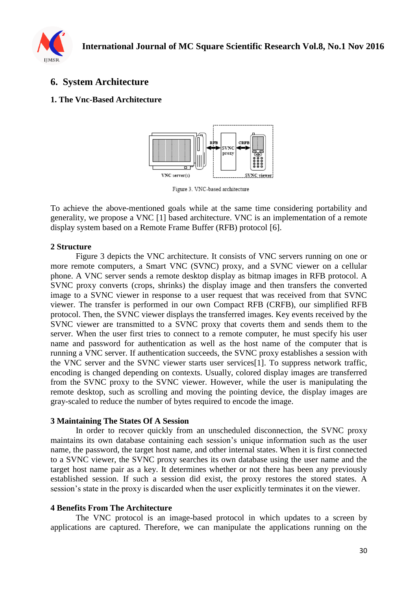

# **6. System Architecture**

#### **1. The Vnc-Based Architecture**



Figure 3. VNC-based architecture

To achieve the above-mentioned goals while at the same time considering portability and generality, we propose a VNC [1] based architecture. VNC is an implementation of a remote display system based on a Remote Frame Buffer (RFB) protocol [6].

#### **2 Structure**

Figure 3 depicts the VNC architecture. It consists of VNC servers running on one or more remote computers, a Smart VNC (SVNC) proxy, and a SVNC viewer on a cellular phone. A VNC server sends a remote desktop display as bitmap images in RFB protocol. A SVNC proxy converts (crops, shrinks) the display image and then transfers the converted image to a SVNC viewer in response to a user request that was received from that SVNC viewer. The transfer is performed in our own Compact RFB (CRFB), our simplified RFB protocol. Then, the SVNC viewer displays the transferred images. Key events received by the SVNC viewer are transmitted to a SVNC proxy that coverts them and sends them to the server. When the user first tries to connect to a remote computer, he must specify his user name and password for authentication as well as the host name of the computer that is running a VNC server. If authentication succeeds, the SVNC proxy establishes a session with the VNC server and the SVNC viewer starts user services[1]. To suppress network traffic, encoding is changed depending on contexts. Usually, colored display images are transferred from the SVNC proxy to the SVNC viewer. However, while the user is manipulating the remote desktop, such as scrolling and moving the pointing device, the display images are gray-scaled to reduce the number of bytes required to encode the image.

#### **3 Maintaining The States Of A Session**

In order to recover quickly from an unscheduled disconnection, the SVNC proxy maintains its own database containing each session"s unique information such as the user name, the password, the target host name, and other internal states. When it is first connected to a SVNC viewer, the SVNC proxy searches its own database using the user name and the target host name pair as a key. It determines whether or not there has been any previously established session. If such a session did exist, the proxy restores the stored states. A session"s state in the proxy is discarded when the user explicitly terminates it on the viewer.

## **4 Benefits From The Architecture**

The VNC protocol is an image-based protocol in which updates to a screen by applications are captured. Therefore, we can manipulate the applications running on the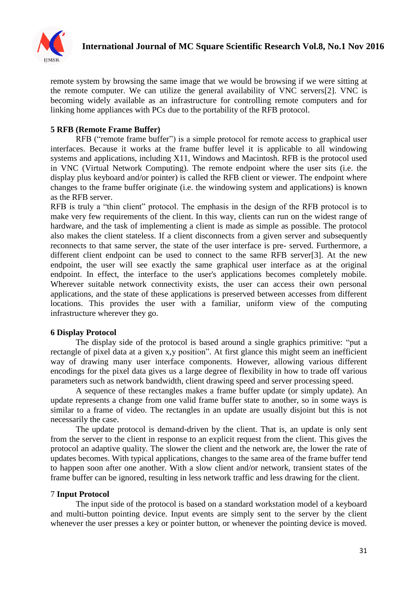

remote system by browsing the same image that we would be browsing if we were sitting at the remote computer. We can utilize the general availability of VNC servers[2]. VNC is becoming widely available as an infrastructure for controlling remote computers and for linking home appliances with PCs due to the portability of the RFB protocol.

## **5 RFB (Remote Frame Buffer)**

RFB ("remote frame buffer") is a simple protocol for remote access to graphical user interfaces. Because it works at the frame buffer level it is applicable to all windowing systems and applications, including X11, Windows and Macintosh. RFB is the protocol used in VNC (Virtual Network Computing). The remote endpoint where the user sits (i.e. the display plus keyboard and/or pointer) is called the RFB client or viewer. The endpoint where changes to the frame buffer originate (i.e. the windowing system and applications) is known as the RFB server.

RFB is truly a "thin client" protocol. The emphasis in the design of the RFB protocol is to make very few requirements of the client. In this way, clients can run on the widest range of hardware, and the task of implementing a client is made as simple as possible. The protocol also makes the client stateless. If a client disconnects from a given server and subsequently reconnects to that same server, the state of the user interface is pre- served. Furthermore, a different client endpoint can be used to connect to the same RFB server[3]. At the new endpoint, the user will see exactly the same graphical user interface as at the original endpoint. In effect, the interface to the user's applications becomes completely mobile. Wherever suitable network connectivity exists, the user can access their own personal applications, and the state of these applications is preserved between accesses from different locations. This provides the user with a familiar, uniform view of the computing infrastructure wherever they go.

#### **6 Display Protocol**

The display side of the protocol is based around a single graphics primitive: "put a rectangle of pixel data at a given x,y position". At first glance this might seem an inefficient way of drawing many user interface components. However, allowing various different encodings for the pixel data gives us a large degree of flexibility in how to trade off various parameters such as network bandwidth, client drawing speed and server processing speed.

A sequence of these rectangles makes a frame buffer update (or simply update). An update represents a change from one valid frame buffer state to another, so in some ways is similar to a frame of video. The rectangles in an update are usually disjoint but this is not necessarily the case.

The update protocol is demand-driven by the client. That is, an update is only sent from the server to the client in response to an explicit request from the client. This gives the protocol an adaptive quality. The slower the client and the network are, the lower the rate of updates becomes. With typical applications, changes to the same area of the frame buffer tend to happen soon after one another. With a slow client and/or network, transient states of the frame buffer can be ignored, resulting in less network traffic and less drawing for the client.

#### 7 **Input Protocol**

The input side of the protocol is based on a standard workstation model of a keyboard and multi-button pointing device. Input events are simply sent to the server by the client whenever the user presses a key or pointer button, or whenever the pointing device is moved.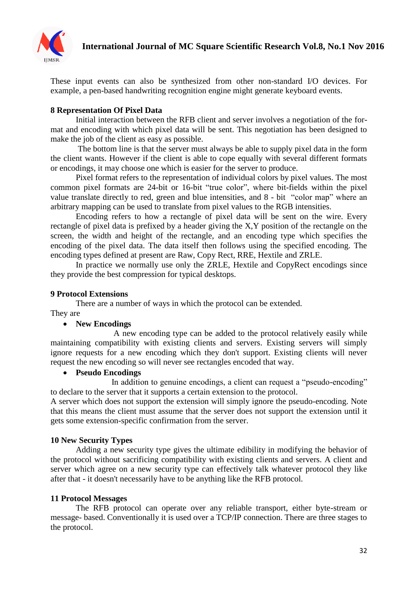

These input events can also be synthesized from other non-standard I/O devices. For example, a pen-based handwriting recognition engine might generate keyboard events.

## **8 Representation Of Pixel Data**

Initial interaction between the RFB client and server involves a negotiation of the format and encoding with which pixel data will be sent. This negotiation has been designed to make the job of the client as easy as possible.

The bottom line is that the server must always be able to supply pixel data in the form the client wants. However if the client is able to cope equally with several different formats or encodings, it may choose one which is easier for the server to produce.

Pixel format refers to the representation of individual colors by pixel values. The most common pixel formats are 24-bit or 16-bit "true color", where bit-fields within the pixel value translate directly to red, green and blue intensities, and 8 - bit "color map" where an arbitrary mapping can be used to translate from pixel values to the RGB intensities.

Encoding refers to how a rectangle of pixel data will be sent on the wire. Every rectangle of pixel data is prefixed by a header giving the X,Y position of the rectangle on the screen, the width and height of the rectangle, and an encoding type which specifies the encoding of the pixel data. The data itself then follows using the specified encoding. The encoding types defined at present are Raw, Copy Rect, RRE, Hextile and ZRLE.

In practice we normally use only the ZRLE, Hextile and CopyRect encodings since they provide the best compression for typical desktops.

#### **9 Protocol Extensions**

There are a number of ways in which the protocol can be extended.

#### They are

## **New Encodings**

 A new encoding type can be added to the protocol relatively easily while maintaining compatibility with existing clients and servers. Existing servers will simply ignore requests for a new encoding which they don't support. Existing clients will never request the new encoding so will never see rectangles encoded that way.

## **Pseudo Encodings**

 In addition to genuine encodings, a client can request a "pseudo-encoding" to declare to the server that it supports a certain extension to the protocol.

A server which does not support the extension will simply ignore the pseudo-encoding. Note that this means the client must assume that the server does not support the extension until it gets some extension-specific confirmation from the server.

## **10 New Security Types**

Adding a new security type gives the ultimate edibility in modifying the behavior of the protocol without sacrificing compatibility with existing clients and servers. A client and server which agree on a new security type can effectively talk whatever protocol they like after that - it doesn't necessarily have to be anything like the RFB protocol.

## **11 Protocol Messages**

The RFB protocol can operate over any reliable transport, either byte-stream or message- based. Conventionally it is used over a TCP/IP connection. There are three stages to the protocol.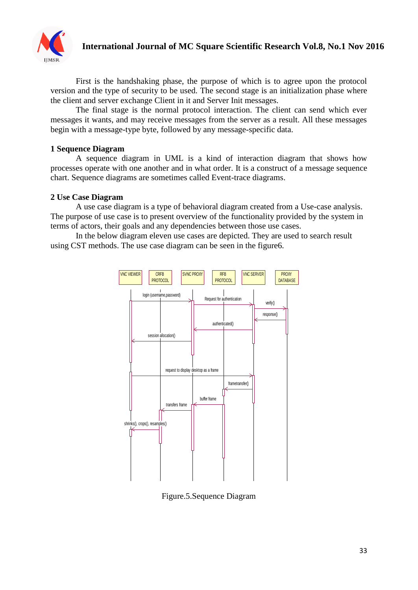

First is the handshaking phase, the purpose of which is to agree upon the protocol version and the type of security to be used. The second stage is an initialization phase where the client and server exchange Client in it and Server Init messages.

The final stage is the normal protocol interaction. The client can send which ever messages it wants, and may receive messages from the server as a result. All these messages begin with a message-type byte, followed by any message-specific data.

#### **1 Sequence Diagram**

A sequence diagram in UML is a kind of interaction diagram that shows how processes operate with one another and in what order. It is a construct of a message sequence chart. Sequence diagrams are sometimes called Event-trace diagrams.

#### **2 Use Case Diagram**

A use case diagram is a type of behavioral diagram created from a Use-case analysis. The purpose of use case is to present overview of the functionality provided by the system in terms of actors, their goals and any dependencies between those use cases.

In the below diagram eleven use cases are depicted. They are used to search result using CST methods. The use case diagram can be seen in the figure6.



Figure.5.Sequence Diagram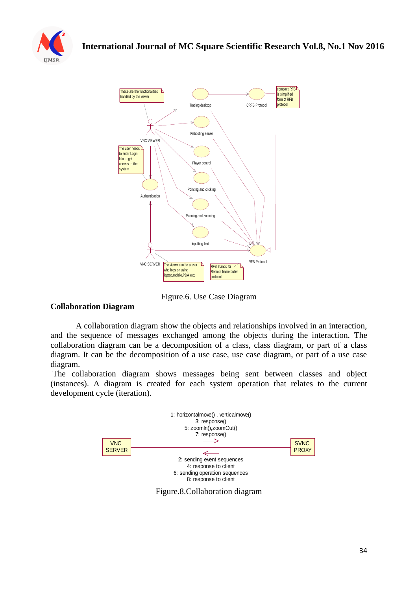



Figure.6. Use Case Diagram

## **Collaboration Diagram**

A collaboration diagram show the objects and relationships involved in an interaction, and the sequence of messages exchanged among the objects during the interaction. The collaboration diagram can be a decomposition of a class, class diagram, or part of a class diagram. It can be the decomposition of a use case, use case diagram, or part of a use case diagram.

The collaboration diagram shows messages being sent between classes and object (instances). A diagram is created for each system operation that relates to the current development cycle (iteration).



Figure.8.Collaboration diagram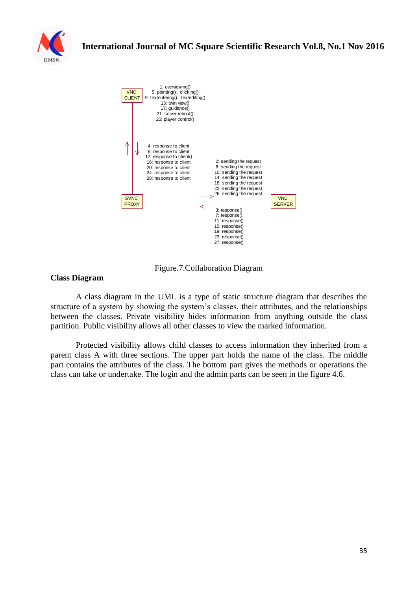



Figure.7.Collaboration Diagram

## **Class Diagram**

A class diagram in the UML is a type of static structure diagram that describes the structure of a system by showing the system"s classes, their attributes, and the relationships between the classes. Private visibility hides information from anything outside the class partition. Public visibility allows all other classes to view the marked information.

Protected visibility allows child classes to access information they inherited from a parent class A with three sections. The upper part holds the name of the class. The middle part contains the attributes of the class. The bottom part gives the methods or operations the class can take or undertake. The login and the admin parts can be seen in the figure 4.6.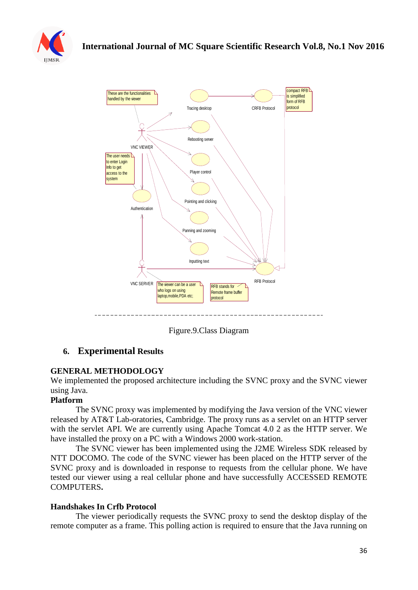



Figure.9.Class Diagram

# **6. Experimental Results**

## **GENERAL METHODOLOGY**

We implemented the proposed architecture including the SVNC proxy and the SVNC viewer using Java.

## **Platform**

The SVNC proxy was implemented by modifying the Java version of the VNC viewer released by AT&T Lab-oratories, Cambridge. The proxy runs as a servlet on an HTTP server with the servlet API. We are currently using Apache Tomcat 4.0 2 as the HTTP server. We have installed the proxy on a PC with a Windows 2000 work-station.

The SVNC viewer has been implemented using the J2ME Wireless SDK released by NTT DOCOMO. The code of the SVNC viewer has been placed on the HTTP server of the SVNC proxy and is downloaded in response to requests from the cellular phone. We have tested our viewer using a real cellular phone and have successfully ACCESSED REMOTE COMPUTERS**.**

## **Handshakes In Crfb Protocol**

The viewer periodically requests the SVNC proxy to send the desktop display of the remote computer as a frame. This polling action is required to ensure that the Java running on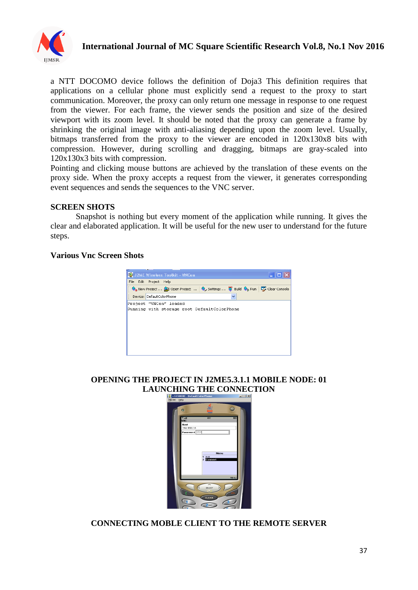

a NTT DOCOMO device follows the definition of Doja3 This definition requires that applications on a cellular phone must explicitly send a request to the proxy to start communication. Moreover, the proxy can only return one message in response to one request from the viewer. For each frame, the viewer sends the position and size of the desired viewport with its zoom level. It should be noted that the proxy can generate a frame by shrinking the original image with anti-aliasing depending upon the zoom level. Usually, bitmaps transferred from the proxy to the viewer are encoded in 120x130x8 bits with compression. However, during scrolling and dragging, bitmaps are gray-scaled into 120x130x3 bits with compression.

Pointing and clicking mouse buttons are achieved by the translation of these events on the proxy side. When the proxy accepts a request from the viewer, it generates corresponding event sequences and sends the sequences to the VNC server.

#### **SCREEN SHOTS**

Snapshot is nothing but every moment of the application while running. It gives the clear and elaborated application. It will be useful for the new user to understand for the future steps.

#### **Various Vnc Screen Shots**

| <b>EN</b> J2ME Wireless Toolkit - VNCen                                                                                                                                                                     |  |
|-------------------------------------------------------------------------------------------------------------------------------------------------------------------------------------------------------------|--|
| File Edit Project Help                                                                                                                                                                                      |  |
| $\bigotimes_{\Phi}$ New Project $\bigotimes$ Open Project $\bigotimes_{\mathcal{V}}$ Settings $\bigotimes_{\mathcal{V}}$ Build $\bigotimes_{\mathcal{V}}$ Run $\big \bigotimes_{\mathcal{V}}$ Clear Console |  |
| Device: DefaultColorPhone                                                                                                                                                                                   |  |
| Project "VNCen" loaded<br>Running with storage root DefaultColorPhone                                                                                                                                       |  |

# **OPENING THE PROJECT IN J2ME5.3.1.1 MOBILE NODE: 01** LAUNCHING THE CONNECTION



## **CONNECTING MOBLE CLIENT TO THE REMOTE SERVER**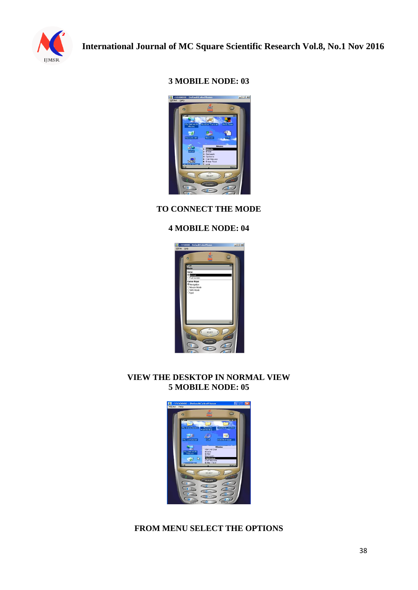

## **3 MOBILE NODE: 03**



## **TO CONNECT THE MODE**

## **4 MOBILE NODE: 04**



## **VIEW THE DESKTOP IN NORMAL VIEW 5 MOBILE NODE: 05**



## **FROM MENU SELECT THE OPTIONS**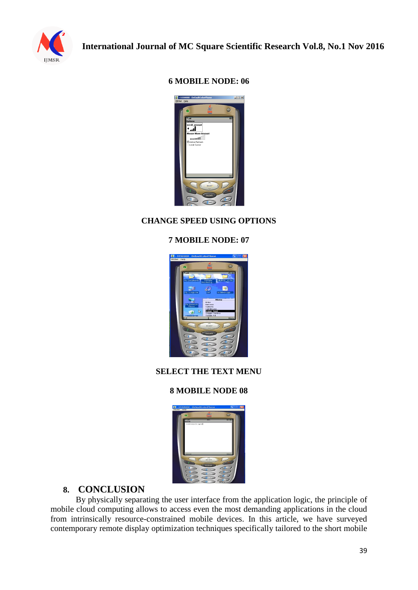

## **6 MOBILE NODE: 06**



# **CHANGE SPEED USING OPTIONS**

# **7 MOBILE NODE: 07**



# **SELECT THE TEXT MENU**

## **8 MOBILE NODE 08**

| 1 - 5550000 DefaultColorPhone<br><b>MONT</b><br>Pinks |                                                        | $-1-6$                                |
|-------------------------------------------------------|--------------------------------------------------------|---------------------------------------|
| $\bullet$                                             |                                                        | $\omega$                              |
| <b>Court</b><br>Senet<br>welcome to rgcet             | 000                                                    | $\overline{\omega}$ in $\overline{c}$ |
| mocot                                                 | $\overline{\phantom{m}}$<br><b>BELECT</b>              | honnu                                 |
| $-4$ ont<br>$7$ cans                                  | CLEAR<br>2 <sub>AB</sub><br>SUKE<br><b>B</b> ruv<br>ΞŌ | <b>SOFF</b><br>MNO<br>WXYZ<br>- 4     |

# **8. CONCLUSION**

By physically separating the user interface from the application logic, the principle of mobile cloud computing allows to access even the most demanding applications in the cloud from intrinsically resource-constrained mobile devices. In this article, we have surveyed contemporary remote display optimization techniques specifically tailored to the short mobile